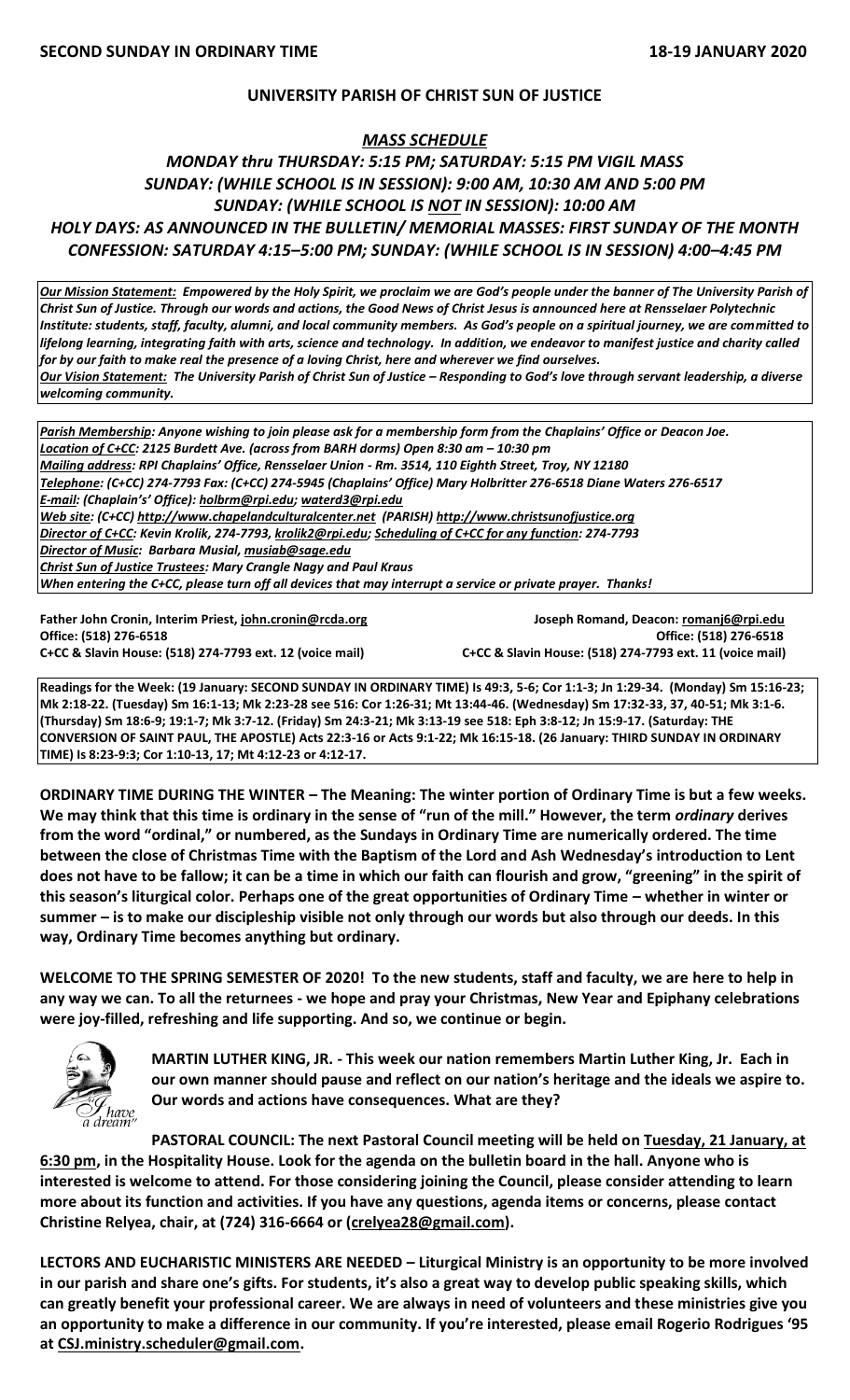#### **UNIVERSITY PARISH OF CHRIST SUN OF JUSTICE**

### *MASS SCHEDULE*

# *MONDAY thru THURSDAY: 5:15 PM; SATURDAY: 5:15 PM VIGIL MASS SUNDAY: (WHILE SCHOOL IS IN SESSION): 9:00 AM, 10:30 AM AND 5:00 PM SUNDAY: (WHILE SCHOOL IS NOT IN SESSION): 10:00 AM HOLY DAYS: AS ANNOUNCED IN THE BULLETIN/ MEMORIAL MASSES: FIRST SUNDAY OF THE MONTH CONFESSION: SATURDAY 4:15–5:00 PM; SUNDAY: (WHILE SCHOOL IS IN SESSION) 4:00–4:45 PM*

*Our Mission Statement:**Empowered by the Holy Spirit, we proclaim we are God's people under the banner of The University Parish of Christ Sun of Justice. Through our words and actions, the Good News of Christ Jesus is announced here at Rensselaer Polytechnic Institute: students, staff, faculty, alumni, and local community members. As God's people on a spiritual journey, we are committed to lifelong learning, integrating faith with arts, science and technology. In addition, we endeavor to manifest justice and charity called for by our faith to make real the presence of a loving Christ, here and wherever we find ourselves. Our Vision Statement: The University Parish of Christ Sun of Justice – Responding to God's love through servant leadership, a diverse welcoming community.*

*Parish Membership: Anyone wishing to join please ask for a membership form from the Chaplains' Office or Deacon Joe. Location of C+CC: 2125 Burdett Ave. (across from BARH dorms) Open 8:30 am – 10:30 pm Mailing address: RPI Chaplains' Office, Rensselaer Union - Rm. 3514, 110 Eighth Street, Troy, NY 12180 Telephone: (C+CC) 274-7793 Fax: (C+CC) 274-5945 (Chaplains' Office) Mary Holbritter 276-6518 Diane Waters 276-6517 E-mail: (Chaplain's' Office): [holbrm@rpi.edu;](mailto:holbrm@rpi.edu) waterd3@rpi.edu Web site: (C+CC) [http://www.chapelandculturalcenter.net](http://www.chapelandculturalcenter.net/) (PARISH) http://www.christsunofjustice.org Director of C+CC: Kevin Krolik, 274-7793, krolik2@rpi.edu; Scheduling of C+CC for any function: 274-7793 Director of Music: Barbara Musial, [musiab@sage.edu](mailto:musiab@sage.edu) Christ Sun of Justice Trustees: Mary Crangle Nagy and Paul Kraus When entering the C+CC, please turn off all devices that may interrupt a service or private prayer. Thanks!* 

**Father John Cronin, Interim Priest[, john.cronin@rcda.org](mailto:john.cronin@rcda.org) Joseph Romand, Deacon: [romanj6@rpi.edu](mailto:romanj6@rpi.edu) Office: (518) 276-6518 Office: (518) 276-6518**

**C+CC & Slavin House: (518) 274-7793 ext. 12 (voice mail) C+CC & Slavin House: (518) 274-7793 ext. 11 (voice mail)**

**Readings for the Week: (19 January: SECOND SUNDAY IN ORDINARY TIME) Is 49:3, 5-6; Cor 1:1-3; Jn 1:29-34. (Monday) Sm 15:16-23; Mk 2:18-22. (Tuesday) Sm 16:1-13; Mk 2:23-28 see 516: Cor 1:26-31; Mt 13:44-46. (Wednesday) Sm 17:32-33, 37, 40-51; Mk 3:1-6. (Thursday) Sm 18:6-9; 19:1-7; Mk 3:7-12. (Friday) Sm 24:3-21; Mk 3:13-19 see 518: Eph 3:8-12; Jn 15:9-17. (Saturday: THE CONVERSION OF SAINT PAUL, THE APOSTLE) Acts 22:3-16 or Acts 9:1-22; Mk 16:15-18. (26 January: THIRD SUNDAY IN ORDINARY TIME) Is 8:23-9:3; Cor 1:10-13, 17; Mt 4:12-23 or 4:12-17.** 

**ORDINARY TIME DURING THE WINTER – The Meaning: The winter portion of Ordinary Time is but a few weeks. We may think that this time is ordinary in the sense of "run of the mill." However, the term** *ordinary* **derives from the word "ordinal," or numbered, as the Sundays in Ordinary Time are numerically ordered. The time between the close of Christmas Time with the Baptism of the Lord and Ash Wednesday's introduction to Lent does not have to be fallow; it can be a time in which our faith can flourish and grow, "greening" in the spirit of this season's liturgical color. Perhaps one of the great opportunities of Ordinary Time – whether in winter or summer – is to make our discipleship visible not only through our words but also through our deeds. In this way, Ordinary Time becomes anything but ordinary.**

**WELCOME TO THE SPRING SEMESTER OF 2020! To the new students, staff and faculty, we are here to help in any way we can. To all the returnees - we hope and pray your Christmas, New Year and Epiphany celebrations were joy-filled, refreshing and life supporting. And so, we continue or begin.**



**MARTIN LUTHER KING, JR. - This week our nation remembers Martin Luther King, Jr. Each in our own manner should pause and reflect on our nation's heritage and the ideals we aspire to. Our words and actions have consequences. What are they?** 

**PASTORAL COUNCIL: The next Pastoral Council meeting will be held on Tuesday, 21 January, at 6:30 pm, in the Hospitality House. Look for the agenda on the bulletin board in the hall. Anyone who is interested is welcome to attend. For those considering joining the Council, please consider attending to learn more about its function and activities. If you have any questions, agenda items or concerns, please contact Christine Relyea, chair, at (724) 316-6664 or [\(crelyea28@gmail.com\)](mailto:crelyea28@gmail.com).**

**LECTORS AND EUCHARISTIC MINISTERS ARE NEEDED – Liturgical Ministry is an opportunity to be more involved in our parish and share one's gifts. For students, it's also a great way to develop public speaking skills, which can greatly benefit your professional career. We are always in need of volunteers and these ministries give you an opportunity to make a difference in our community. If you're interested, please email Rogerio Rodrigues '95 at [CSJ.ministry.scheduler@gmail.com.](mailto:CSJ.ministry.scheduler@gmail.com)**